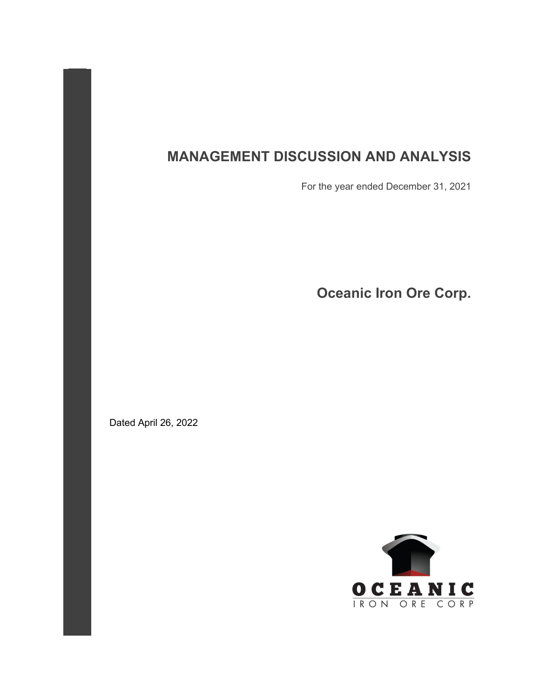# **MANAGEMENT DISCUSSION AND ANALYSIS**

For the year ended December 31, 2021

**Oceanic Iron Ore Corp.**

Dated April 26, 2022

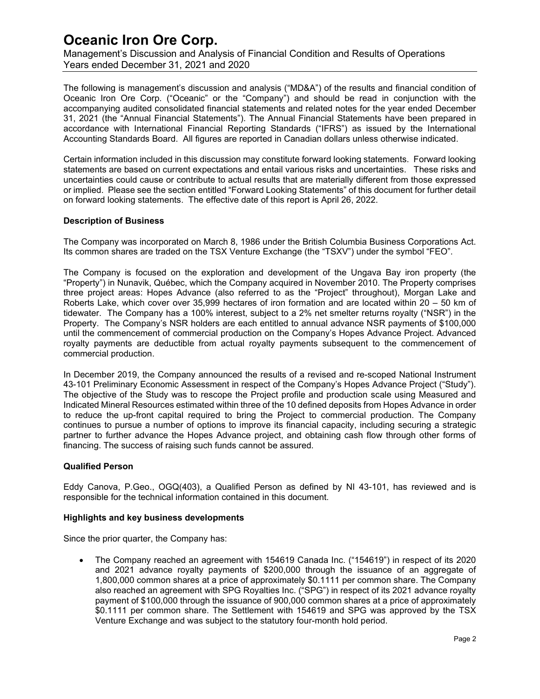Management's Discussion and Analysis of Financial Condition and Results of Operations Years ended December 31, 2021 and 2020

The following is management's discussion and analysis ("MD&A") of the results and financial condition of Oceanic Iron Ore Corp. ("Oceanic" or the "Company") and should be read in conjunction with the accompanying audited consolidated financial statements and related notes for the year ended December 31, 2021 (the "Annual Financial Statements"). The Annual Financial Statements have been prepared in accordance with International Financial Reporting Standards ("IFRS") as issued by the International Accounting Standards Board. All figures are reported in Canadian dollars unless otherwise indicated.

Certain information included in this discussion may constitute forward looking statements. Forward looking statements are based on current expectations and entail various risks and uncertainties. These risks and uncertainties could cause or contribute to actual results that are materially different from those expressed or implied. Please see the section entitled "Forward Looking Statements" of this document for further detail on forward looking statements. The effective date of this report is April 26, 2022.

### **Description of Business**

The Company was incorporated on March 8, 1986 under the British Columbia Business Corporations Act. Its common shares are traded on the TSX Venture Exchange (the "TSXV") under the symbol "FEO".

The Company is focused on the exploration and development of the Ungava Bay iron property (the "Property") in Nunavik, Québec, which the Company acquired in November 2010. The Property comprises three project areas: Hopes Advance (also referred to as the "Project" throughout), Morgan Lake and Roberts Lake, which cover over 35,999 hectares of iron formation and are located within 20 – 50 km of tidewater. The Company has a 100% interest, subject to a 2% net smelter returns royalty ("NSR") in the Property. The Company's NSR holders are each entitled to annual advance NSR payments of \$100,000 until the commencement of commercial production on the Company's Hopes Advance Project. Advanced royalty payments are deductible from actual royalty payments subsequent to the commencement of commercial production.

In December 2019, the Company announced the results of a revised and re-scoped National Instrument 43-101 Preliminary Economic Assessment in respect of the Company's Hopes Advance Project ("Study"). The objective of the Study was to rescope the Project profile and production scale using Measured and Indicated Mineral Resources estimated within three of the 10 defined deposits from Hopes Advance in order to reduce the up-front capital required to bring the Project to commercial production. The Company continues to pursue a number of options to improve its financial capacity, including securing a strategic partner to further advance the Hopes Advance project, and obtaining cash flow through other forms of financing. The success of raising such funds cannot be assured.

### **Qualified Person**

Eddy Canova, P.Geo., OGQ(403), a Qualified Person as defined by NI 43-101, has reviewed and is responsible for the technical information contained in this document.

### **Highlights and key business developments**

Since the prior quarter, the Company has:

• The Company reached an agreement with 154619 Canada Inc. ("154619") in respect of its 2020 and 2021 advance royalty payments of \$200,000 through the issuance of an aggregate of 1,800,000 common shares at a price of approximately \$0.1111 per common share. The Company also reached an agreement with SPG Royalties Inc. ("SPG") in respect of its 2021 advance royalty payment of \$100,000 through the issuance of 900,000 common shares at a price of approximately \$0.1111 per common share. The Settlement with 154619 and SPG was approved by the TSX Venture Exchange and was subject to the statutory four-month hold period.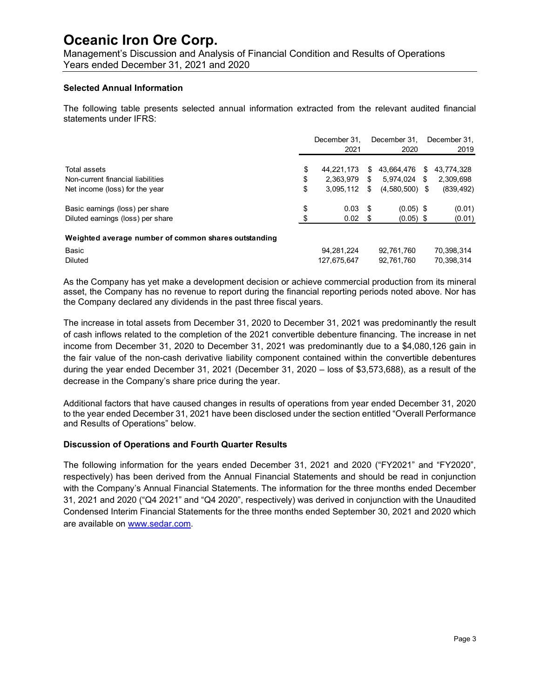Management's Discussion and Analysis of Financial Condition and Results of Operations Years ended December 31, 2021 and 2020

#### **Selected Annual Information**

The following table presents selected annual information extracted from the relevant audited financial statements under IFRS:

|                                                      | December 31,     |    | December 31.     |   | December 31. |
|------------------------------------------------------|------------------|----|------------------|---|--------------|
|                                                      | 2021             |    | 2020             |   | 2019         |
| Total assets                                         | \$<br>44.221.173 | S  | 43.664.476       | S | 43.774.328   |
| Non-current financial liabilities                    | \$<br>2.363.979  | \$ | 5.974.024        | S | 2,309,698    |
| Net income (loss) for the year                       | \$<br>3,095,112  | \$ | $(4,580,500)$ \$ |   | (839, 492)   |
| Basic earnings (loss) per share                      | \$<br>0.03       | -S | $(0.05)$ \$      |   | (0.01)       |
| Diluted earnings (loss) per share                    | \$<br>0.02       | S  | $(0.05)$ \$      |   | (0.01)       |
| Weighted average number of common shares outstanding |                  |    |                  |   |              |
| <b>Basic</b>                                         | 94,281,224       |    | 92,761,760       |   | 70.398.314   |
| <b>Diluted</b>                                       | 127,675,647      |    | 92,761,760       |   | 70.398.314   |

As the Company has yet make a development decision or achieve commercial production from its mineral asset, the Company has no revenue to report during the financial reporting periods noted above. Nor has the Company declared any dividends in the past three fiscal years.

The increase in total assets from December 31, 2020 to December 31, 2021 was predominantly the result of cash inflows related to the completion of the 2021 convertible debenture financing. The increase in net income from December 31, 2020 to December 31, 2021 was predominantly due to a \$4,080,126 gain in the fair value of the non-cash derivative liability component contained within the convertible debentures during the year ended December 31, 2021 (December 31, 2020 – loss of \$3,573,688), as a result of the decrease in the Company's share price during the year.

Additional factors that have caused changes in results of operations from year ended December 31, 2020 to the year ended December 31, 2021 have been disclosed under the section entitled "Overall Performance and Results of Operations" below.

### **Discussion of Operations and Fourth Quarter Results**

The following information for the years ended December 31, 2021 and 2020 ("FY2021" and "FY2020", respectively) has been derived from the Annual Financial Statements and should be read in conjunction with the Company's Annual Financial Statements. The information for the three months ended December 31, 2021 and 2020 ("Q4 2021" and "Q4 2020", respectively) was derived in conjunction with the Unaudited Condensed Interim Financial Statements for the three months ended September 30, 2021 and 2020 which are available on [www.sedar.com.](http://www.sedar.com/)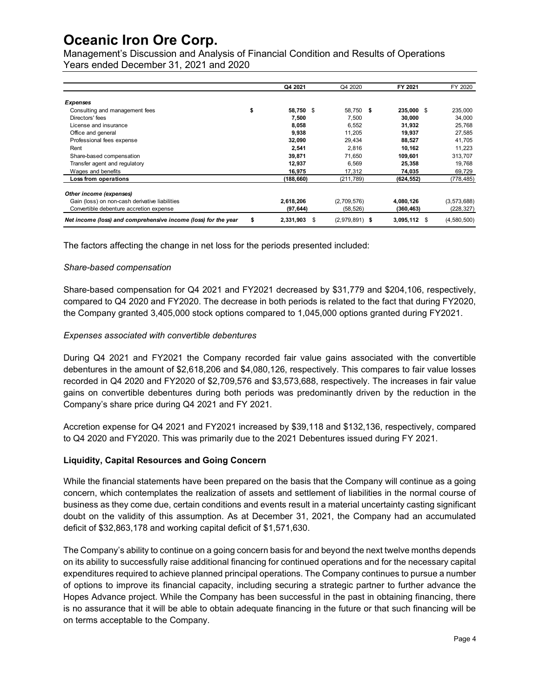Management's Discussion and Analysis of Financial Condition and Results of Operations Years ended December 31, 2021 and 2020

|                                                                      | Q4 2021         | Q4 2020          | FY 2021        | FY 2020       |
|----------------------------------------------------------------------|-----------------|------------------|----------------|---------------|
| <b>Expenses</b>                                                      |                 |                  |                |               |
| \$<br>Consulting and management fees                                 | 58.750<br>\$    | 58.750 \$        | 235,000 \$     | 235,000       |
| Directors' fees                                                      | 7,500           | 7,500            | 30,000         | 34,000        |
| License and insurance                                                | 8,058           | 6,552            | 31,932         | 25.768        |
| Office and general                                                   | 9,938           | 11.205           | 19,937         | 27.585        |
| Professional fees expense                                            | 32,090          | 29,434           | 88,527         | 41,705        |
| Rent                                                                 | 2,541           | 2.816            | 10,162         | 11.223        |
| Share-based compensation                                             | 39,871          | 71.650           | 109,601        | 313,707       |
| Transfer agent and regulatory                                        | 12,937          | 6,569            | 25,358         | 19,768        |
| Wages and benefits                                                   | 16,975          | 17,312           | 74,035         | 69,729        |
| Loss from operations                                                 | (188, 660)      | (211, 789)       | (624, 552)     | (778, 485)    |
| Other income (expenses)                                              |                 |                  |                |               |
| Gain (loss) on non-cash derivative liabilities                       | 2,618,206       | (2,709,576)      | 4,080,126      | (3, 573, 688) |
| Convertible debenture accretion expense                              | (97, 644)       | (58, 526)        | (360,463)      | (228, 327)    |
| Net income (loss) and comprehensive income (loss) for the year<br>\$ | 2,331,903<br>\$ | $(2,979,891)$ \$ | $3,095,112$ \$ | (4,580,500)   |

The factors affecting the change in net loss for the periods presented included:

### *Share-based compensation*

Share-based compensation for Q4 2021 and FY2021 decreased by \$31,779 and \$204,106, respectively, compared to Q4 2020 and FY2020. The decrease in both periods is related to the fact that during FY2020, the Company granted 3,405,000 stock options compared to 1,045,000 options granted during FY2021.

### *Expenses associated with convertible debentures*

During Q4 2021 and FY2021 the Company recorded fair value gains associated with the convertible debentures in the amount of \$2,618,206 and \$4,080,126, respectively. This compares to fair value losses recorded in Q4 2020 and FY2020 of \$2,709,576 and \$3,573,688, respectively. The increases in fair value gains on convertible debentures during both periods was predominantly driven by the reduction in the Company's share price during Q4 2021 and FY 2021.

Accretion expense for Q4 2021 and FY2021 increased by \$39,118 and \$132,136, respectively, compared to Q4 2020 and FY2020. This was primarily due to the 2021 Debentures issued during FY 2021.

### **Liquidity, Capital Resources and Going Concern**

While the financial statements have been prepared on the basis that the Company will continue as a going concern, which contemplates the realization of assets and settlement of liabilities in the normal course of business as they come due, certain conditions and events result in a material uncertainty casting significant doubt on the validity of this assumption. As at December 31, 2021, the Company had an accumulated deficit of \$32,863,178 and working capital deficit of \$1,571,630.

The Company's ability to continue on a going concern basis for and beyond the next twelve months depends on its ability to successfully raise additional financing for continued operations and for the necessary capital expenditures required to achieve planned principal operations. The Company continues to pursue a number of options to improve its financial capacity, including securing a strategic partner to further advance the Hopes Advance project. While the Company has been successful in the past in obtaining financing, there is no assurance that it will be able to obtain adequate financing in the future or that such financing will be on terms acceptable to the Company.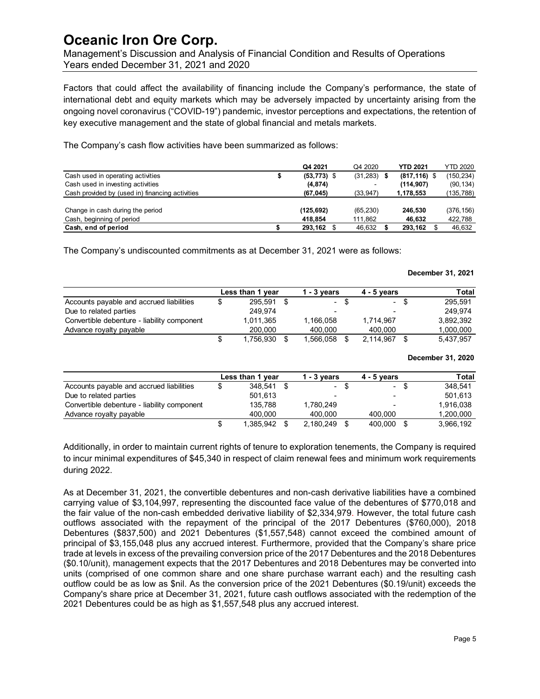Management's Discussion and Analysis of Financial Condition and Results of Operations Years ended December 31, 2021 and 2020

Factors that could affect the availability of financing include the Company's performance, the state of international debt and equity markets which may be adversely impacted by uncertainty arising from the ongoing novel coronavirus ("COVID-19") pandemic, investor perceptions and expectations, the retention of key executive management and the state of global financial and metals markets.

The Company's cash flow activities have been summarized as follows:

|                                                 | Q4 2021        | Q4 2020                  | <b>YTD 2021</b> | <b>YTD 2020</b> |
|-------------------------------------------------|----------------|--------------------------|-----------------|-----------------|
| Cash used in operating activities               | $(53, 773)$ \$ | (31, 283)                | $(817, 116)$ \$ | (150, 234)      |
| Cash used in investing activities               | (4, 874)       | $\overline{\phantom{a}}$ | (114, 907)      | (90, 134)       |
| Cash provided by (used in) financing activities | (67, 045)      | (33, 947)                | 1,178,553       | (135,788)       |
|                                                 |                |                          |                 |                 |
| Change in cash during the period                | (125, 692)     | (65, 230)                | 246.530         | (376, 156)      |
| Cash, beginning of period                       | 418.854        | 111,862                  | 46.632          | 422,788         |
| Cash, end of period                             | 293,162        | 46,632                   | 293,162         | 46,632          |

The Company's undiscounted commitments as at December 31, 2021 were as follows:

|                                             |   | Less than 1 year | $1 - 3$ vears |      | $4 - 5$ years   |      | Total     |
|---------------------------------------------|---|------------------|---------------|------|-----------------|------|-----------|
| Accounts payable and accrued liabilities    | S | 295.591          |               | - \$ | $\sim$ 10 $\pm$ | - \$ | 295.591   |
| Due to related parties                      |   | 249.974          | -             |      | -               |      | 249.974   |
| Convertible debenture - liability component |   | 1.011.365        | 1.166.058     |      | 1.714.967       |      | 3.892.392 |
| Advance royalty payable                     |   | 200.000          | 400.000       |      | 400.000         |      | 1,000,000 |
|                                             | S | 1.756.930        | 1.566.058     |      | 2.114.967       |      | 5,437,957 |

#### **December 31, 2020**

|                                             | Less than 1 year | 1 - 3 vears |      | $4 - 5$ vears |      | Total     |
|---------------------------------------------|------------------|-------------|------|---------------|------|-----------|
| Accounts payable and accrued liabilities    | \$<br>348.541    |             | - \$ |               | - \$ | 348.541   |
| Due to related parties                      | 501.613          | -           |      |               |      | 501.613   |
| Convertible debenture - liability component | 135.788          | 1.780.249   |      |               |      | 1,916,038 |
| Advance royalty payable                     | 400.000          | 400.000     |      | 400.000       |      | 1,200,000 |
|                                             | \$<br>1.385.942  | 2.180.249   |      | 400.000       | - \$ | 3,966,192 |

Additionally, in order to maintain current rights of tenure to exploration tenements, the Company is required to incur minimal expenditures of \$45,340 in respect of claim renewal fees and minimum work requirements during 2022.

As at December 31, 2021, the convertible debentures and non-cash derivative liabilities have a combined carrying value of \$3,104,997, representing the discounted face value of the debentures of \$770,018 and the fair value of the non-cash embedded derivative liability of \$2,334,979. However, the total future cash outflows associated with the repayment of the principal of the 2017 Debentures (\$760,000), 2018 Debentures (\$837,500) and 2021 Debentures (\$1,557,548) cannot exceed the combined amount of principal of \$3,155,048 plus any accrued interest. Furthermore, provided that the Company's share price trade at levels in excess of the prevailing conversion price of the 2017 Debentures and the 2018 Debentures (\$0.10/unit), management expects that the 2017 Debentures and 2018 Debentures may be converted into units (comprised of one common share and one share purchase warrant each) and the resulting cash outflow could be as low as \$nil. As the conversion price of the 2021 Debentures (\$0.19/unit) exceeds the Company's share price at December 31, 2021, future cash outflows associated with the redemption of the 2021 Debentures could be as high as \$1,557,548 plus any accrued interest.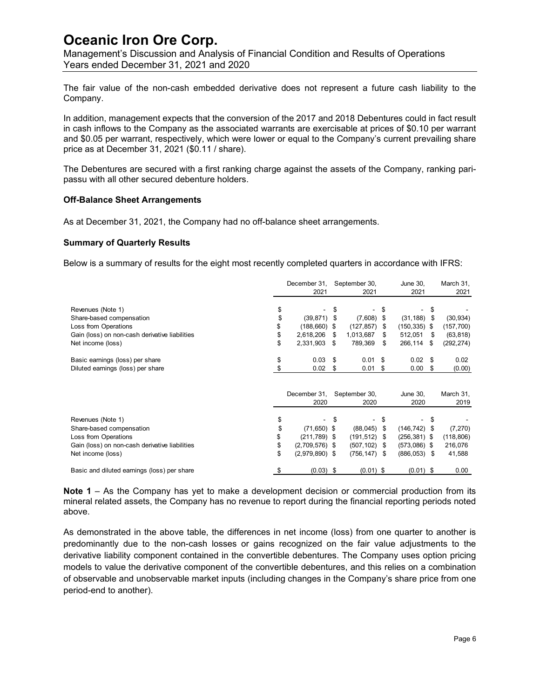Management's Discussion and Analysis of Financial Condition and Results of Operations Years ended December 31, 2021 and 2020

The fair value of the non-cash embedded derivative does not represent a future cash liability to the Company.

In addition, management expects that the conversion of the 2017 and 2018 Debentures could in fact result in cash inflows to the Company as the associated warrants are exercisable at prices of \$0.10 per warrant and \$0.05 per warrant, respectively, which were lower or equal to the Company's current prevailing share price as at December 31, 2021 (\$0.11 / share).

The Debentures are secured with a first ranking charge against the assets of the Company, ranking paripassu with all other secured debenture holders.

### **Off-Balance Sheet Arrangements**

As at December 31, 2021, the Company had no off-balance sheet arrangements.

### **Summary of Quarterly Results**

Below is a summary of results for the eight most recently completed quarters in accordance with IFRS:

|                                                | December 31,<br>2021   |    | September 30,<br>2021 |      | June 30,<br>2021 |      | March 31,<br>2021 |
|------------------------------------------------|------------------------|----|-----------------------|------|------------------|------|-------------------|
| Revenues (Note 1)                              |                        | S  |                       | S    |                  | \$   |                   |
| Share-based compensation                       | \$<br>(39, 871)        | S  | (7,608)               | - \$ | (31, 188)        | S    | (30, 934)         |
| Loss from Operations                           | \$<br>(188, 660)       | S  | (127, 857)            | S    | (150, 335)       | - \$ | (157,700)         |
| Gain (loss) on non-cash derivative liabilities | \$<br>2,618,206        | \$ | 1,013,687             | \$   | 512,051          | S    | (63, 818)         |
| Net income (loss)                              | \$<br>2,331,903        | \$ | 789,369               | \$   | 266,114          | \$   | (292, 274)        |
| Basic earnings (loss) per share                | \$<br>0.03             | \$ | 0.01                  | -\$  | 0.02             | \$   | 0.02              |
| Diluted earnings (loss) per share              | \$<br>0.02             | \$ | 0.01                  | \$   | 0.00             | \$   | (0.00)            |
|                                                | December 31,<br>2020   |    | September 30,<br>2020 |      | June 30,<br>2020 |      | March 31,<br>2019 |
| Revenues (Note 1)                              | \$<br>-                | S  | $\blacksquare$        | -\$  |                  | S    |                   |
| Share-based compensation                       | \$<br>$(71,650)$ \$    |    | (88,045)              | \$   | $(146, 742)$ \$  |      | (7, 270)          |
| Loss from Operations                           | \$<br>$(211,789)$ \$   |    | (191, 512)            | S    | $(256, 381)$ \$  |      | (118, 806)        |
| Gain (loss) on non-cash derivative liabilities | \$<br>$(2,709,576)$ \$ |    | (507, 102)            | S    | $(573,086)$ \$   |      | 216,076           |
| Net income (loss)                              | \$<br>$(2,979,890)$ \$ |    | (756, 147)            | \$   | $(886, 053)$ \$  |      | 41,588            |
| Basic and diluted earnings (loss) per share    | $(0.03)$ \$            |    | $(0.01)$ \$           |      | $(0.01)$ \$      |      | 0.00              |

**Note 1** – As the Company has yet to make a development decision or commercial production from its mineral related assets, the Company has no revenue to report during the financial reporting periods noted above.

As demonstrated in the above table, the differences in net income (loss) from one quarter to another is predominantly due to the non-cash losses or gains recognized on the fair value adjustments to the derivative liability component contained in the convertible debentures. The Company uses option pricing models to value the derivative component of the convertible debentures, and this relies on a combination of observable and unobservable market inputs (including changes in the Company's share price from one period-end to another).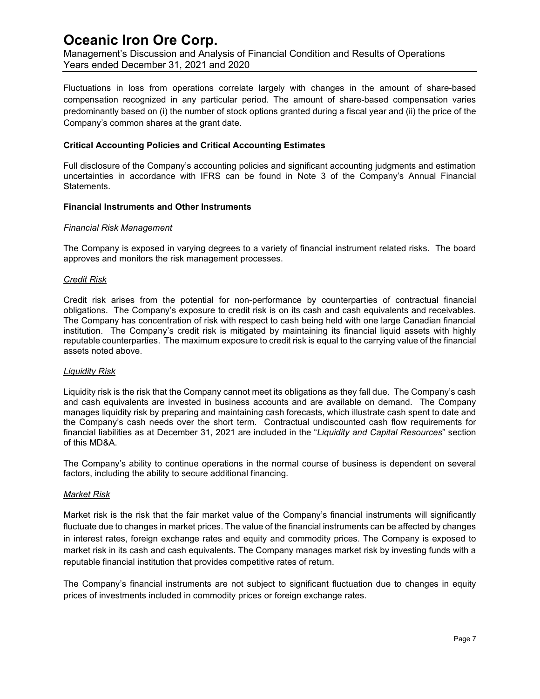Management's Discussion and Analysis of Financial Condition and Results of Operations Years ended December 31, 2021 and 2020

Fluctuations in loss from operations correlate largely with changes in the amount of share-based compensation recognized in any particular period. The amount of share-based compensation varies predominantly based on (i) the number of stock options granted during a fiscal year and (ii) the price of the Company's common shares at the grant date.

### **Critical Accounting Policies and Critical Accounting Estimates**

Full disclosure of the Company's accounting policies and significant accounting judgments and estimation uncertainties in accordance with IFRS can be found in Note 3 of the Company's Annual Financial Statements.

#### **Financial Instruments and Other Instruments**

#### *Financial Risk Management*

The Company is exposed in varying degrees to a variety of financial instrument related risks. The board approves and monitors the risk management processes.

#### *Credit Risk*

Credit risk arises from the potential for non-performance by counterparties of contractual financial obligations. The Company's exposure to credit risk is on its cash and cash equivalents and receivables. The Company has concentration of risk with respect to cash being held with one large Canadian financial institution. The Company's credit risk is mitigated by maintaining its financial liquid assets with highly reputable counterparties. The maximum exposure to credit risk is equal to the carrying value of the financial assets noted above.

#### *Liquidity Risk*

Liquidity risk is the risk that the Company cannot meet its obligations as they fall due. The Company's cash and cash equivalents are invested in business accounts and are available on demand. The Company manages liquidity risk by preparing and maintaining cash forecasts, which illustrate cash spent to date and the Company's cash needs over the short term. Contractual undiscounted cash flow requirements for financial liabilities as at December 31, 2021 are included in the "*Liquidity and Capital Resources*" section of this MD&A.

The Company's ability to continue operations in the normal course of business is dependent on several factors, including the ability to secure additional financing.

#### *Market Risk*

Market risk is the risk that the fair market value of the Company's financial instruments will significantly fluctuate due to changes in market prices. The value of the financial instruments can be affected by changes in interest rates, foreign exchange rates and equity and commodity prices. The Company is exposed to market risk in its cash and cash equivalents. The Company manages market risk by investing funds with a reputable financial institution that provides competitive rates of return.

The Company's financial instruments are not subject to significant fluctuation due to changes in equity prices of investments included in commodity prices or foreign exchange rates.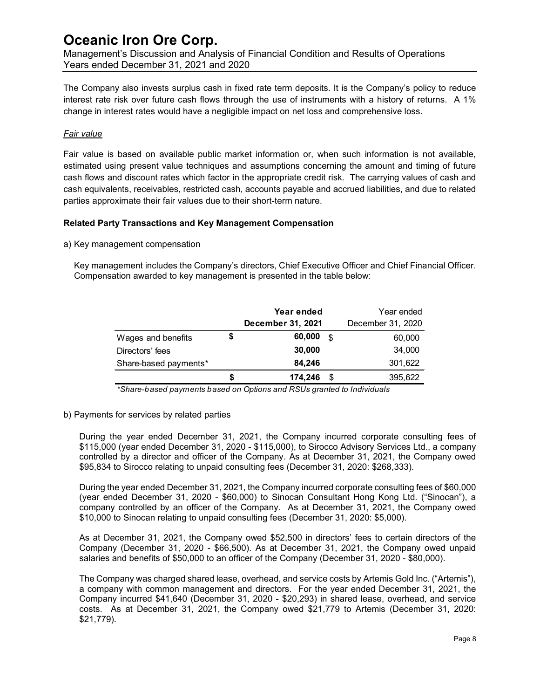Management's Discussion and Analysis of Financial Condition and Results of Operations Years ended December 31, 2021 and 2020

The Company also invests surplus cash in fixed rate term deposits. It is the Company's policy to reduce interest rate risk over future cash flows through the use of instruments with a history of returns. A 1% change in interest rates would have a negligible impact on net loss and comprehensive loss.

### *Fair value*

Fair value is based on available public market information or, when such information is not available, estimated using present value techniques and assumptions concerning the amount and timing of future cash flows and discount rates which factor in the appropriate credit risk. The carrying values of cash and cash equivalents, receivables, restricted cash, accounts payable and accrued liabilities, and due to related parties approximate their fair values due to their short-term nature.

### **Related Party Transactions and Key Management Compensation**

a) Key management compensation

Key management includes the Company's directors, Chief Executive Officer and Chief Financial Officer. Compensation awarded to key management is presented in the table below:

|                       |    | Year ended<br>December 31, 2021 |      | Year ended<br>December 31, 2020 |
|-----------------------|----|---------------------------------|------|---------------------------------|
| Wages and benefits    | \$ | 60,000                          | .\$  | 60,000                          |
| Directors' fees       |    | 30,000                          |      | 34,000                          |
| Share-based payments* |    | 84,246                          |      | 301,622                         |
|                       | S  | 174,246                         | - \$ | 395,622                         |

*\*Share-based payments based on Options and RSUs granted to Individuals*

b) Payments for services by related parties

During the year ended December 31, 2021, the Company incurred corporate consulting fees of \$115,000 (year ended December 31, 2020 - \$115,000), to Sirocco Advisory Services Ltd., a company controlled by a director and officer of the Company. As at December 31, 2021, the Company owed \$95,834 to Sirocco relating to unpaid consulting fees (December 31, 2020: \$268,333).

During the year ended December 31, 2021, the Company incurred corporate consulting fees of \$60,000 (year ended December 31, 2020 - \$60,000) to Sinocan Consultant Hong Kong Ltd. ("Sinocan"), a company controlled by an officer of the Company. As at December 31, 2021, the Company owed \$10,000 to Sinocan relating to unpaid consulting fees (December 31, 2020: \$5,000).

As at December 31, 2021, the Company owed \$52,500 in directors' fees to certain directors of the Company (December 31, 2020 - \$66,500). As at December 31, 2021, the Company owed unpaid salaries and benefits of \$50,000 to an officer of the Company (December 31, 2020 - \$80,000).

The Company was charged shared lease, overhead, and service costs by Artemis Gold Inc. ("Artemis"), a company with common management and directors. For the year ended December 31, 2021, the Company incurred \$41,640 (December 31, 2020 - \$20,293) in shared lease, overhead, and service costs. As at December 31, 2021, the Company owed \$21,779 to Artemis (December 31, 2020: \$21,779).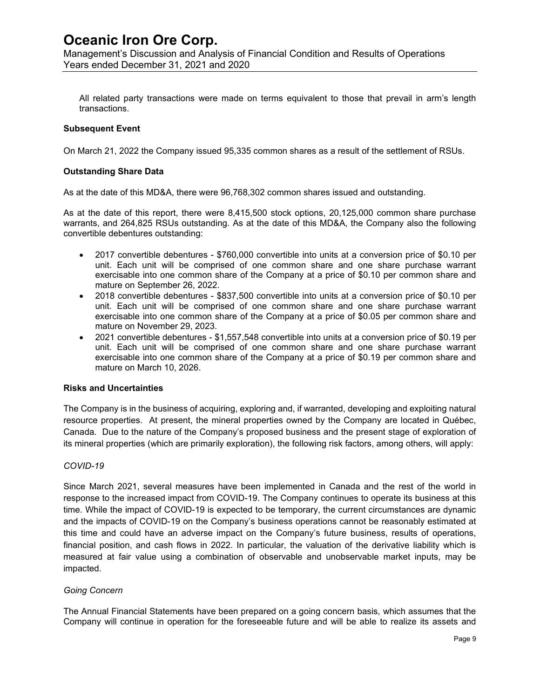Management's Discussion and Analysis of Financial Condition and Results of Operations Years ended December 31, 2021 and 2020

All related party transactions were made on terms equivalent to those that prevail in arm's length transactions.

### **Subsequent Event**

On March 21, 2022 the Company issued 95,335 common shares as a result of the settlement of RSUs.

#### **Outstanding Share Data**

As at the date of this MD&A, there were 96,768,302 common shares issued and outstanding.

As at the date of this report, there were 8,415,500 stock options, 20,125,000 common share purchase warrants, and 264,825 RSUs outstanding. As at the date of this MD&A, the Company also the following convertible debentures outstanding:

- 2017 convertible debentures \$760,000 convertible into units at a conversion price of \$0.10 per unit. Each unit will be comprised of one common share and one share purchase warrant exercisable into one common share of the Company at a price of \$0.10 per common share and mature on September 26, 2022.
- 2018 convertible debentures \$837,500 convertible into units at a conversion price of \$0.10 per unit. Each unit will be comprised of one common share and one share purchase warrant exercisable into one common share of the Company at a price of \$0.05 per common share and mature on November 29, 2023.
- 2021 convertible debentures \$1,557,548 convertible into units at a conversion price of \$0.19 per unit. Each unit will be comprised of one common share and one share purchase warrant exercisable into one common share of the Company at a price of \$0.19 per common share and mature on March 10, 2026.

### **Risks and Uncertainties**

The Company is in the business of acquiring, exploring and, if warranted, developing and exploiting natural resource properties. At present, the mineral properties owned by the Company are located in Québec, Canada. Due to the nature of the Company's proposed business and the present stage of exploration of its mineral properties (which are primarily exploration), the following risk factors, among others, will apply:

### *COVID-19*

Since March 2021, several measures have been implemented in Canada and the rest of the world in response to the increased impact from COVID-19. The Company continues to operate its business at this time. While the impact of COVID-19 is expected to be temporary, the current circumstances are dynamic and the impacts of COVID-19 on the Company's business operations cannot be reasonably estimated at this time and could have an adverse impact on the Company's future business, results of operations, financial position, and cash flows in 2022. In particular, the valuation of the derivative liability which is measured at fair value using a combination of observable and unobservable market inputs, may be impacted.

### *Going Concern*

The Annual Financial Statements have been prepared on a going concern basis, which assumes that the Company will continue in operation for the foreseeable future and will be able to realize its assets and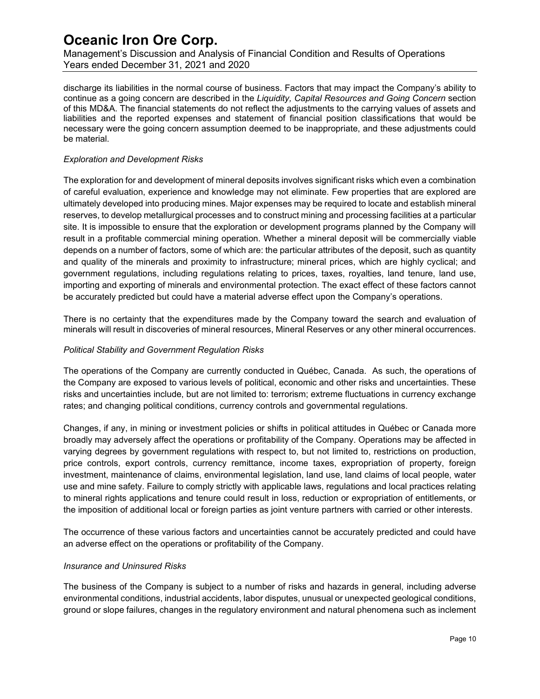Management's Discussion and Analysis of Financial Condition and Results of Operations Years ended December 31, 2021 and 2020

discharge its liabilities in the normal course of business. Factors that may impact the Company's ability to continue as a going concern are described in the *Liquidity, Capital Resources and Going Concern* section of this MD&A. The financial statements do not reflect the adjustments to the carrying values of assets and liabilities and the reported expenses and statement of financial position classifications that would be necessary were the going concern assumption deemed to be inappropriate, and these adjustments could be material.

### *Exploration and Development Risks*

The exploration for and development of mineral deposits involves significant risks which even a combination of careful evaluation, experience and knowledge may not eliminate. Few properties that are explored are ultimately developed into producing mines. Major expenses may be required to locate and establish mineral reserves, to develop metallurgical processes and to construct mining and processing facilities at a particular site. It is impossible to ensure that the exploration or development programs planned by the Company will result in a profitable commercial mining operation. Whether a mineral deposit will be commercially viable depends on a number of factors, some of which are: the particular attributes of the deposit, such as quantity and quality of the minerals and proximity to infrastructure; mineral prices, which are highly cyclical; and government regulations, including regulations relating to prices, taxes, royalties, land tenure, land use, importing and exporting of minerals and environmental protection. The exact effect of these factors cannot be accurately predicted but could have a material adverse effect upon the Company's operations.

There is no certainty that the expenditures made by the Company toward the search and evaluation of minerals will result in discoveries of mineral resources, Mineral Reserves or any other mineral occurrences.

### *Political Stability and Government Regulation Risks*

The operations of the Company are currently conducted in Québec, Canada. As such, the operations of the Company are exposed to various levels of political, economic and other risks and uncertainties. These risks and uncertainties include, but are not limited to: terrorism; extreme fluctuations in currency exchange rates; and changing political conditions, currency controls and governmental regulations.

Changes, if any, in mining or investment policies or shifts in political attitudes in Québec or Canada more broadly may adversely affect the operations or profitability of the Company. Operations may be affected in varying degrees by government regulations with respect to, but not limited to, restrictions on production, price controls, export controls, currency remittance, income taxes, expropriation of property, foreign investment, maintenance of claims, environmental legislation, land use, land claims of local people, water use and mine safety. Failure to comply strictly with applicable laws, regulations and local practices relating to mineral rights applications and tenure could result in loss, reduction or expropriation of entitlements, or the imposition of additional local or foreign parties as joint venture partners with carried or other interests.

The occurrence of these various factors and uncertainties cannot be accurately predicted and could have an adverse effect on the operations or profitability of the Company.

### *Insurance and Uninsured Risks*

The business of the Company is subject to a number of risks and hazards in general, including adverse environmental conditions, industrial accidents, labor disputes, unusual or unexpected geological conditions, ground or slope failures, changes in the regulatory environment and natural phenomena such as inclement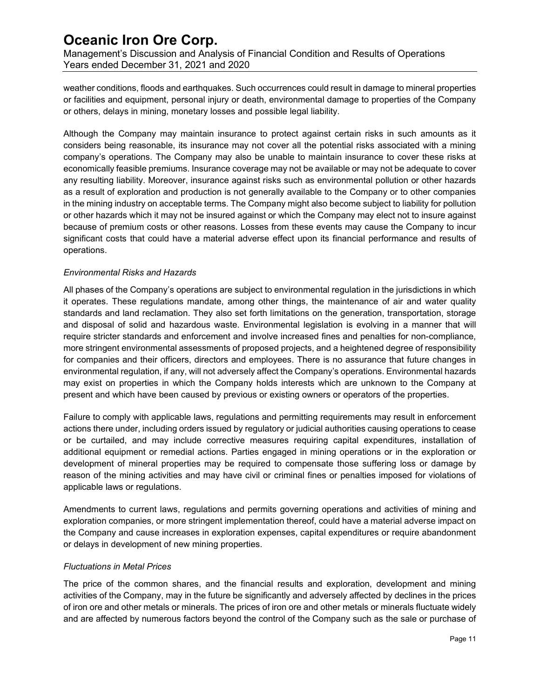Management's Discussion and Analysis of Financial Condition and Results of Operations Years ended December 31, 2021 and 2020

weather conditions, floods and earthquakes. Such occurrences could result in damage to mineral properties or facilities and equipment, personal injury or death, environmental damage to properties of the Company or others, delays in mining, monetary losses and possible legal liability.

Although the Company may maintain insurance to protect against certain risks in such amounts as it considers being reasonable, its insurance may not cover all the potential risks associated with a mining company's operations. The Company may also be unable to maintain insurance to cover these risks at economically feasible premiums. Insurance coverage may not be available or may not be adequate to cover any resulting liability. Moreover, insurance against risks such as environmental pollution or other hazards as a result of exploration and production is not generally available to the Company or to other companies in the mining industry on acceptable terms. The Company might also become subject to liability for pollution or other hazards which it may not be insured against or which the Company may elect not to insure against because of premium costs or other reasons. Losses from these events may cause the Company to incur significant costs that could have a material adverse effect upon its financial performance and results of operations.

### *Environmental Risks and Hazards*

All phases of the Company's operations are subject to environmental regulation in the jurisdictions in which it operates. These regulations mandate, among other things, the maintenance of air and water quality standards and land reclamation. They also set forth limitations on the generation, transportation, storage and disposal of solid and hazardous waste. Environmental legislation is evolving in a manner that will require stricter standards and enforcement and involve increased fines and penalties for non-compliance, more stringent environmental assessments of proposed projects, and a heightened degree of responsibility for companies and their officers, directors and employees. There is no assurance that future changes in environmental regulation, if any, will not adversely affect the Company's operations. Environmental hazards may exist on properties in which the Company holds interests which are unknown to the Company at present and which have been caused by previous or existing owners or operators of the properties.

Failure to comply with applicable laws, regulations and permitting requirements may result in enforcement actions there under, including orders issued by regulatory or judicial authorities causing operations to cease or be curtailed, and may include corrective measures requiring capital expenditures, installation of additional equipment or remedial actions. Parties engaged in mining operations or in the exploration or development of mineral properties may be required to compensate those suffering loss or damage by reason of the mining activities and may have civil or criminal fines or penalties imposed for violations of applicable laws or regulations.

Amendments to current laws, regulations and permits governing operations and activities of mining and exploration companies, or more stringent implementation thereof, could have a material adverse impact on the Company and cause increases in exploration expenses, capital expenditures or require abandonment or delays in development of new mining properties.

### *Fluctuations in Metal Prices*

The price of the common shares, and the financial results and exploration, development and mining activities of the Company, may in the future be significantly and adversely affected by declines in the prices of iron ore and other metals or minerals. The prices of iron ore and other metals or minerals fluctuate widely and are affected by numerous factors beyond the control of the Company such as the sale or purchase of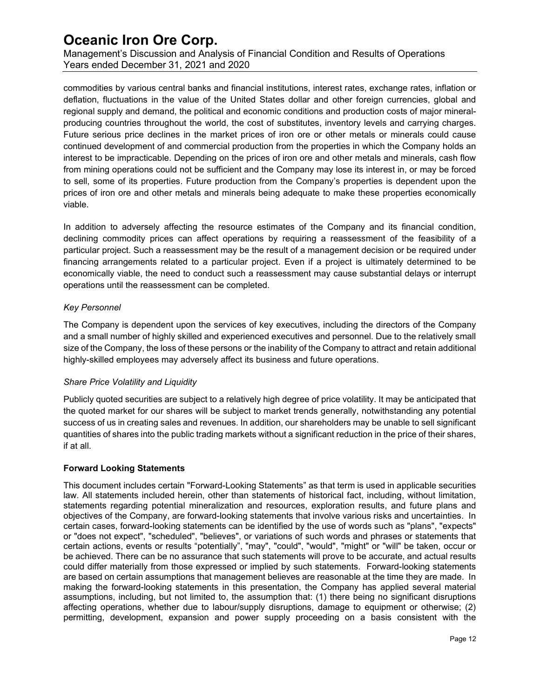Management's Discussion and Analysis of Financial Condition and Results of Operations Years ended December 31, 2021 and 2020

commodities by various central banks and financial institutions, interest rates, exchange rates, inflation or deflation, fluctuations in the value of the United States dollar and other foreign currencies, global and regional supply and demand, the political and economic conditions and production costs of major mineralproducing countries throughout the world, the cost of substitutes, inventory levels and carrying charges. Future serious price declines in the market prices of iron ore or other metals or minerals could cause continued development of and commercial production from the properties in which the Company holds an interest to be impracticable. Depending on the prices of iron ore and other metals and minerals, cash flow from mining operations could not be sufficient and the Company may lose its interest in, or may be forced to sell, some of its properties. Future production from the Company's properties is dependent upon the prices of iron ore and other metals and minerals being adequate to make these properties economically viable.

In addition to adversely affecting the resource estimates of the Company and its financial condition, declining commodity prices can affect operations by requiring a reassessment of the feasibility of a particular project. Such a reassessment may be the result of a management decision or be required under financing arrangements related to a particular project. Even if a project is ultimately determined to be economically viable, the need to conduct such a reassessment may cause substantial delays or interrupt operations until the reassessment can be completed.

### *Key Personnel*

The Company is dependent upon the services of key executives, including the directors of the Company and a small number of highly skilled and experienced executives and personnel. Due to the relatively small size of the Company, the loss of these persons or the inability of the Company to attract and retain additional highly-skilled employees may adversely affect its business and future operations.

### *Share Price Volatility and Liquidity*

Publicly quoted securities are subject to a relatively high degree of price volatility. It may be anticipated that the quoted market for our shares will be subject to market trends generally, notwithstanding any potential success of us in creating sales and revenues. In addition, our shareholders may be unable to sell significant quantities of shares into the public trading markets without a significant reduction in the price of their shares, if at all.

### **Forward Looking Statements**

This document includes certain "Forward-Looking Statements" as that term is used in applicable securities law. All statements included herein, other than statements of historical fact, including, without limitation, statements regarding potential mineralization and resources, exploration results, and future plans and objectives of the Company, are forward-looking statements that involve various risks and uncertainties. In certain cases, forward-looking statements can be identified by the use of words such as "plans", "expects" or "does not expect", "scheduled", "believes", or variations of such words and phrases or statements that certain actions, events or results "potentially", "may", "could", "would", "might" or "will" be taken, occur or be achieved. There can be no assurance that such statements will prove to be accurate, and actual results could differ materially from those expressed or implied by such statements. Forward-looking statements are based on certain assumptions that management believes are reasonable at the time they are made. In making the forward-looking statements in this presentation, the Company has applied several material assumptions, including, but not limited to, the assumption that: (1) there being no significant disruptions affecting operations, whether due to labour/supply disruptions, damage to equipment or otherwise; (2) permitting, development, expansion and power supply proceeding on a basis consistent with the